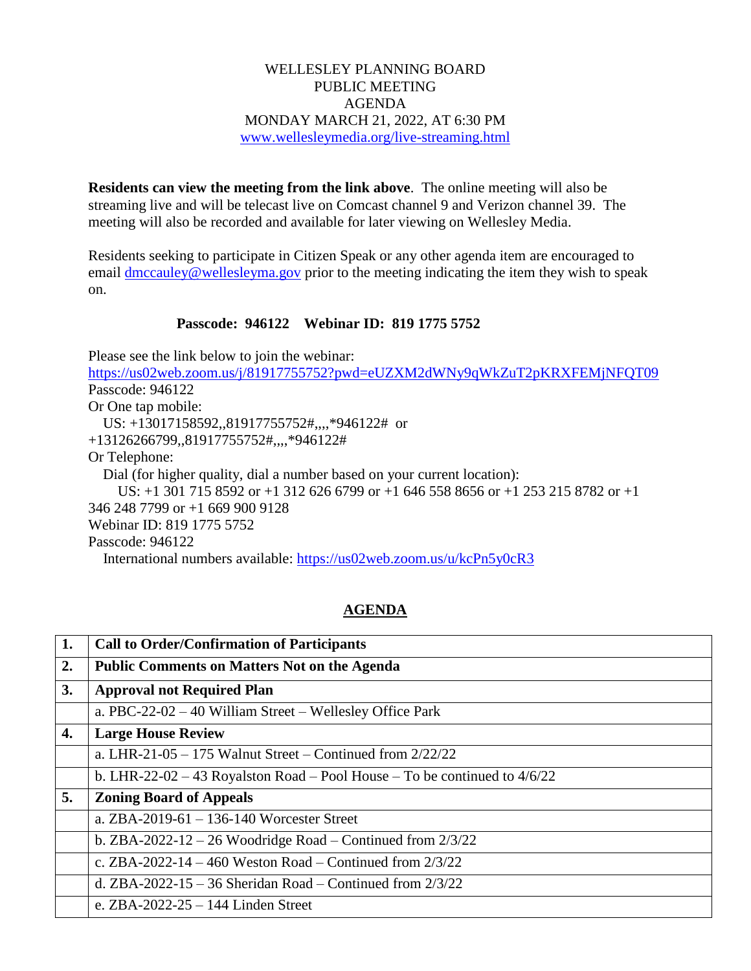## WELLESLEY PLANNING BOARD PUBLIC MEETING AGENDA MONDAY MARCH 21, 2022, AT 6:30 PM [www.wellesleymedia.org/live-streaming.html](http://www.wellesleymedia.org/live-streaming.html)

**Residents can view the meeting from the link above**. The online meeting will also be streaming live and will be telecast live on Comcast channel 9 and Verizon channel 39. The meeting will also be recorded and available for later viewing on Wellesley Media.

Residents seeking to participate in Citizen Speak or any other agenda item are encouraged to email [dmccauley@wellesleyma.gov](mailto:dmccauley@wellesleyma.gov) prior to the meeting indicating the item they wish to speak on.

## **Passcode: 946122 Webinar ID: 819 1775 5752**

Please see the link below to join the webinar: <https://us02web.zoom.us/j/81917755752?pwd=eUZXM2dWNy9qWkZuT2pKRXFEMjNFQT09> Passcode: 946122 Or One tap mobile: US: +13017158592,,81917755752#,,,,\*946122# or +13126266799,,81917755752#,,,,\*946122# Or Telephone: Dial (for higher quality, dial a number based on your current location): US: +1 301 715 8592 or +1 312 626 6799 or +1 646 558 8656 or +1 253 215 8782 or +1 346 248 7799 or +1 669 900 9128 Webinar ID: 819 1775 5752 Passcode: 946122

International numbers available:<https://us02web.zoom.us/u/kcPn5y0cR3>

## **AGENDA**

| 1. | <b>Call to Order/Confirmation of Participants</b>                           |  |  |
|----|-----------------------------------------------------------------------------|--|--|
| 2. | <b>Public Comments on Matters Not on the Agenda</b>                         |  |  |
| 3. | <b>Approval not Required Plan</b>                                           |  |  |
|    | a. $PBC-22-02-40$ William Street – Wellesley Office Park                    |  |  |
| 4. | <b>Large House Review</b>                                                   |  |  |
|    | a. LHR-21-05 - 175 Walnut Street - Continued from $2/22/22$                 |  |  |
|    | b. LHR-22-02 – 43 Royalston Road – Pool House – To be continued to $4/6/22$ |  |  |
| 5. | <b>Zoning Board of Appeals</b>                                              |  |  |
|    | a. ZBA-2019-61 – 136-140 Worcester Street                                   |  |  |
|    | b. ZBA-2022-12 – 26 Woodridge Road – Continued from $2/3/22$                |  |  |
|    | c. ZBA-2022-14 – 460 Weston Road – Continued from $2/3/22$                  |  |  |
|    | d. ZBA-2022-15 – 36 Sheridan Road – Continued from $2/3/22$                 |  |  |
|    | e. $ZBA-2022-25-144$ Linden Street                                          |  |  |